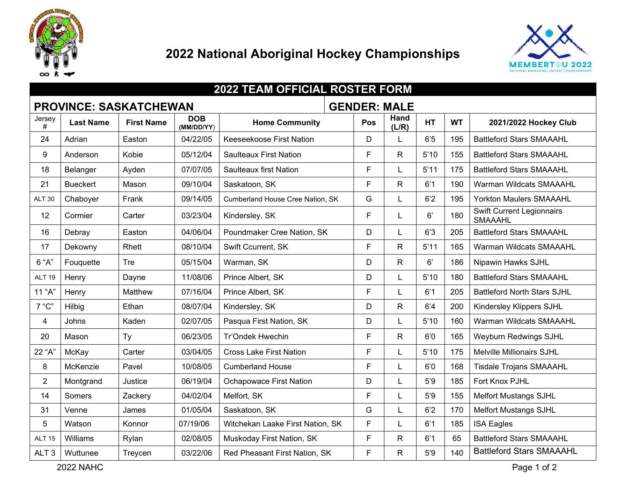

## **National Aboriginal Hockey Championships**



| <b>2022 TEAM OFFICIAL ROSTER FORM</b>                |                  |                   |                          |                                  |     |               |           |           |                                             |
|------------------------------------------------------|------------------|-------------------|--------------------------|----------------------------------|-----|---------------|-----------|-----------|---------------------------------------------|
| <b>GENDER: MALE</b><br><b>PROVINCE: SASKATCHEWAN</b> |                  |                   |                          |                                  |     |               |           |           |                                             |
| Jersey<br>#                                          | <b>Last Name</b> | <b>First Name</b> | <b>DOB</b><br>(MM/DD/YY) | <b>Home Community</b>            | Pos | Hand<br>(L/R) | <b>HT</b> | <b>WT</b> | 2021/2022 Hockey Club                       |
| 24                                                   | Adrian           | Easton            | 04/22/05                 | Keeseekoose First Nation         | D   |               | 6'5       | 195       | <b>Battleford Stars SMAAAHL</b>             |
| 9                                                    | Anderson         | Kobie             | 05/12/04                 | <b>Saulteaux First Nation</b>    | F   | R.            | 5'10      | 155       | <b>Battleford Stars SMAAAHL</b>             |
| 18                                                   | Belanger         | Ayden             | 07/07/05                 | <b>Saulteaux first Nation</b>    | F   |               | 5'11      | 175       | <b>Battleford Stars SMAAAHL</b>             |
| 21                                                   | <b>Bueckert</b>  | Mason             | 09/10/04                 | Saskatoon, SK                    | F   | R             | 6'1       | 190       | <b>Warman Wildcats SMAAAHL</b>              |
| <b>ALT 30</b>                                        | Chaboyer         | Frank             | 09/14/05                 | Cumberland House Cree Nation, SK | G   |               | 6'2       | 195       | Yorkton Maulers SMAAAHL                     |
| 12                                                   | Cormier          | Carter            | 03/23/04                 | Kindersley, SK                   | F   |               | 6'        | 180       | Swift Current Legionnairs<br><b>SMAAAHL</b> |
| 16                                                   | Debray           | Easton            | 04/06/04                 | Poundmaker Cree Nation, SK       | D   |               | 6'3       | 205       | <b>Battleford Stars SMAAAHL</b>             |
| 17                                                   | Dekowny          | Rhett             | 08/10/04                 | Swift Ccurrent, SK               | F   | R             | 5'11      | 165       | Warman Wildcats SMAAAHL                     |
| 6 "A"                                                | Fouquette        | Tre               | 05/15/04                 | Warman, SK                       | D   | R             | 6'        | 186       | Nipawin Hawks SJHL                          |
| <b>ALT 19</b>                                        | Henry            | Dayne             | 11/08/06                 | Prince Albert, SK                | D   |               | 5'10      | 180       | <b>Battleford Stars SMAAAHL</b>             |
| 11 "A"                                               | Henry            | Matthew           | 07/16/04                 | Prince Albert, SK                | F   |               | 6'1       | 205       | <b>Battleford North Stars SJHL</b>          |
| 7 "C"                                                | Hilbig           | Ethan             | 08/07/04                 | Kindersley, SK                   | D   | R             | 6'4       | 200       | Kindersley Klippers SJHL                    |
| 4                                                    | Johns            | Kaden             | 02/07/05                 | Pasqua First Nation, SK          | D   |               | 5'10      | 160       | Warman Wildcats SMAAAHL                     |
| 20                                                   | Mason            | Ty                | 06/23/05                 | <b>Tr'Ondek Hwechin</b>          | F   | R             | 6'0       | 165       | <b>Weyburn Redwings SJHL</b>                |
| 22 "A"                                               | McKay            | Carter            | 03/04/05                 | <b>Cross Lake First Nation</b>   | F   |               | 5'10      | 175       | <b>Melville Millionairs SJHL</b>            |
| 8                                                    | McKenzie         | Pavel             | 10/08/05                 | <b>Cumberland House</b>          | F   |               | 6'0       | 168       | <b>Tisdale Trojans SMAAAHL</b>              |
| $\overline{2}$                                       | Montgrand        | Justice           | 06/19/04                 | <b>Ochapowace First Nation</b>   | D   |               | 5'9       | 185       | Fort Knox PJHL                              |
| 14                                                   | Somers           | Zackery           | 04/02/04                 | Melfort, SK                      | F   |               | 5'9       | 155       | <b>Melfort Mustangs SJHL</b>                |
| 31                                                   | Venne            | James             | 01/05/04                 | Saskatoon, SK                    | G   |               | 6'2       | 170       | <b>Melfort Mustangs SJHL</b>                |
| 5                                                    | Watson           | Konnor            | 07/19/06                 | Witchekan Laake First Nation, SK | F   |               | 6'1       | 185       | <b>ISA Eagles</b>                           |
| <b>ALT 15</b>                                        | Williams         | Rylan             | 02/08/05                 | Muskoday First Nation, SK        | F   | R             | 6'1       | 65        | <b>Battleford Stars SMAAAHL</b>             |
| ALT <sub>3</sub>                                     | Wuttunee         | Treycen           | 03/22/06                 | Red Pheasant First Nation, SK    | F   | R             | 5'9       | 140       | <b>Battleford Stars SMAAAHL</b>             |

NAHC Page 1 of 2